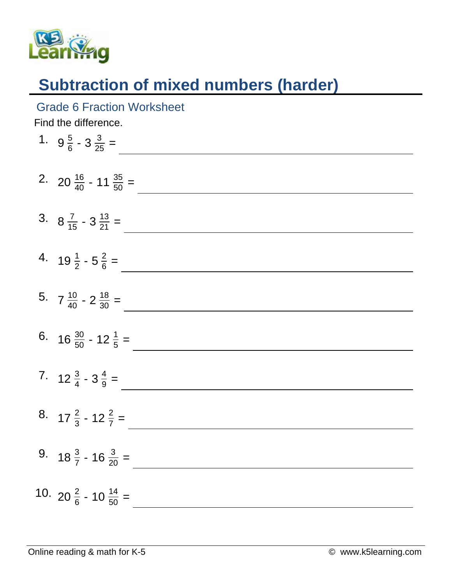

## **Subtraction of mixed numbers (harder)**

## Grade 6 Fraction Worksheet

Find the difference.

| 1. $9\frac{5}{6} - 3\frac{3}{25} =$          |
|----------------------------------------------|
| 2. 20 $\frac{16}{40}$ - 11 $\frac{35}{50}$ = |
| 3. $8\frac{7}{15} - 3\frac{13}{21} =$        |
| 4. $19\frac{1}{2} - 5\frac{2}{6} =$          |
| 5. $7\frac{10}{40} - 2\frac{18}{30} =$       |
| 6. $16 \frac{30}{50} - 12 \frac{1}{5} =$     |
| 7. $12\frac{3}{4} - 3\frac{4}{9} =$          |
| 8. $17\frac{2}{3}$ - $12\frac{2}{7}$ =       |
| 9. $18\frac{3}{7}$ - $16\frac{3}{20}$ =      |
| 10. 20 $\frac{2}{6}$ - 10 $\frac{14}{50}$ =  |